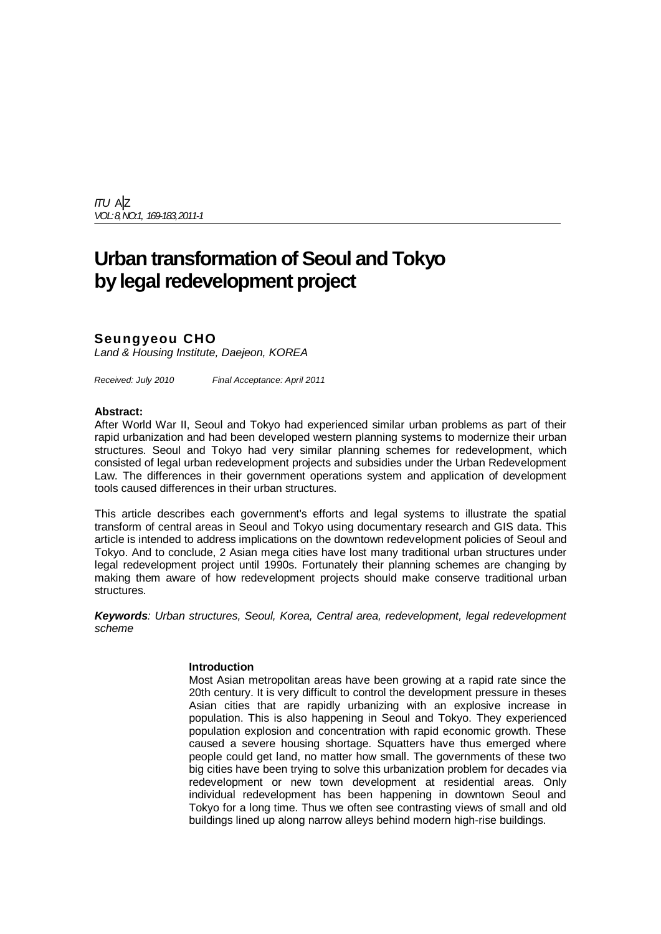*ITU* A|Z *VOL: 8,NO:1, 169-183,2011-1*

# **Urban transformation of Seoul and Tokyo by legal redevelopment project**

# **Seungyeou CHO**

*Land & Housing Institute, Daejeon, KOREA*

*Received: July 2010 Final Acceptance: April 2011*

#### **Abstract:**

After World War II, Seoul and Tokyo had experienced similar urban problems as part of their rapid urbanization and had been developed western planning systems to modernize their urban structures. Seoul and Tokyo had very similar planning schemes for redevelopment, which consisted of legal urban redevelopment projects and subsidies under the Urban Redevelopment Law. The differences in their government operations system and application of development tools caused differences in their urban structures.

This article describes each government's efforts and legal systems to illustrate the spatial transform of central areas in Seoul and Tokyo using documentary research and GIS data. This article is intended to address implications on the downtown redevelopment policies of Seoul and Tokyo. And to conclude, 2 Asian mega cities have lost many traditional urban structures under legal redevelopment project until 1990s. Fortunately their planning schemes are changing by making them aware of how redevelopment projects should make conserve traditional urban structures.

*Keywords: Urban structures, Seoul, Korea, Central area, redevelopment, legal redevelopment scheme*

#### **Introduction**

Most Asian metropolitan areas have been growing at a rapid rate since the 20th century. It is very difficult to control the development pressure in theses Asian cities that are rapidly urbanizing with an explosive increase in population. This is also happening in Seoul and Tokyo. They experienced population explosion and concentration with rapid economic growth. These caused a severe housing shortage. Squatters have thus emerged where people could get land, no matter how small. The governments of these two big cities have been trying to solve this urbanization problem for decades via redevelopment or new town development at residential areas. Only individual redevelopment has been happening in downtown Seoul and Tokyo for a long time. Thus we often see contrasting views of small and old buildings lined up along narrow alleys behind modern high-rise buildings.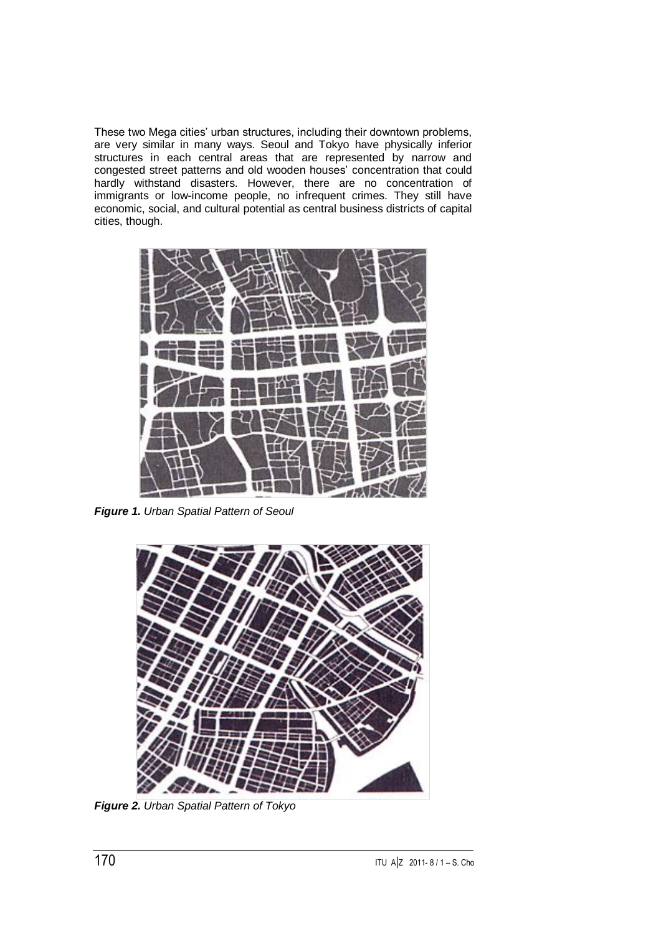These two Mega cities' urban structures, including their downtown problems, are very similar in many ways. Seoul and Tokyo have physically inferior structures in each central areas that are represented by narrow and congested street patterns and old wooden houses' concentration that could hardly withstand disasters. However, there are no concentration of immigrants or low-income people, no infrequent crimes. They still have economic, social, and cultural potential as central business districts of capital cities, though.



*Figure 1. Urban Spatial Pattern of Seoul*



*Figure 2. Urban Spatial Pattern of Tokyo*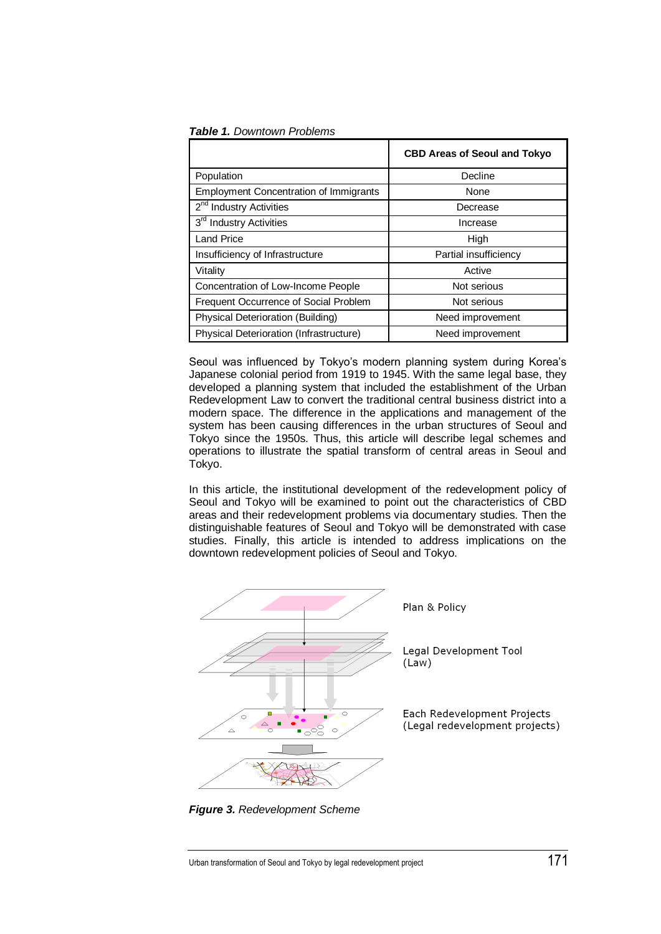#### *Table 1. Downtown Problems*

|                                               | <b>CBD Areas of Seoul and Tokyo</b> |
|-----------------------------------------------|-------------------------------------|
| Population                                    | Decline                             |
| <b>Employment Concentration of Immigrants</b> | None                                |
| 2 <sup>nd</sup> Industry Activities           | Decrease                            |
| 3 <sup>rd</sup> Industry Activities           | Increase                            |
| <b>Land Price</b>                             | High                                |
| Insufficiency of Infrastructure               | Partial insufficiency               |
| Vitality                                      | Active                              |
| Concentration of Low-Income People            | Not serious                         |
| Frequent Occurrence of Social Problem         | Not serious                         |
| Physical Deterioration (Building)             | Need improvement                    |
| Physical Deterioration (Infrastructure)       | Need improvement                    |

Seoul was influenced by Tokyo's modern planning system during Korea's Japanese colonial period from 1919 to 1945. With the same legal base, they developed a planning system that included the establishment of the Urban Redevelopment Law to convert the traditional central business district into a modern space. The difference in the applications and management of the system has been causing differences in the urban structures of Seoul and Tokyo since the 1950s. Thus, this article will describe legal schemes and operations to illustrate the spatial transform of central areas in Seoul and Tokyo.

In this article, the institutional development of the redevelopment policy of Seoul and Tokyo will be examined to point out the characteristics of CBD areas and their redevelopment problems via documentary studies. Then the distinguishable features of Seoul and Tokyo will be demonstrated with case studies. Finally, this article is intended to address implications on the downtown redevelopment policies of Seoul and Tokyo.



*Figure 3. Redevelopment Scheme*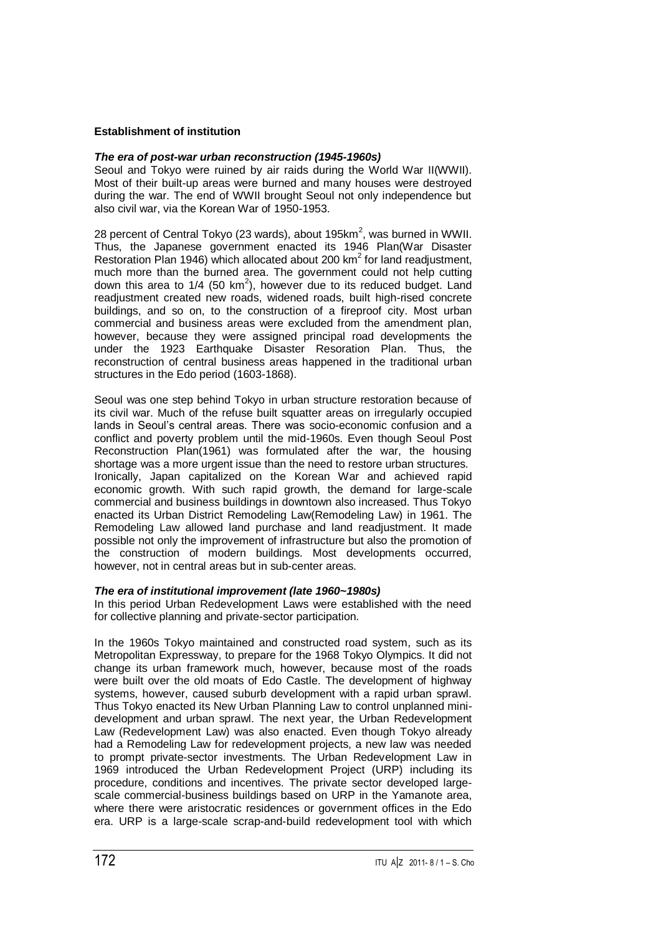# **Establishment of institution**

## *The era of post-war urban reconstruction (1945-1960s)*

Seoul and Tokyo were ruined by air raids during the World War II(WWII). Most of their built-up areas were burned and many houses were destroyed during the war. The end of WWII brought Seoul not only independence but also civil war, via the Korean War of 1950-1953.

28 percent of Central Tokyo (23 wards), about 195 $km^2$ , was burned in WWII. Thus, the Japanese government enacted its 1946 Plan(War Disaster Restoration Plan 1946) which allocated about 200 km<sup>2</sup> for land readjustment, much more than the burned area. The government could not help cutting down this area to  $1/4$  (50 km<sup>2</sup>), however due to its reduced budget. Land readjustment created new roads, widened roads, built high-rised concrete buildings, and so on, to the construction of a fireproof city. Most urban commercial and business areas were excluded from the amendment plan, however, because they were assigned principal road developments the under the 1923 Earthquake Disaster Resoration Plan. Thus, the reconstruction of central business areas happened in the traditional urban structures in the Edo period (1603-1868).

Seoul was one step behind Tokyo in urban structure restoration because of its civil war. Much of the refuse built squatter areas on irregularly occupied lands in Seoul's central areas. There was socio-economic confusion and a conflict and poverty problem until the mid-1960s. Even though Seoul Post Reconstruction Plan(1961) was formulated after the war, the housing shortage was a more urgent issue than the need to restore urban structures. Ironically, Japan capitalized on the Korean War and achieved rapid economic growth. With such rapid growth, the demand for large-scale commercial and business buildings in downtown also increased. Thus Tokyo enacted its Urban District Remodeling Law(Remodeling Law) in 1961. The Remodeling Law allowed land purchase and land readjustment. It made possible not only the improvement of infrastructure but also the promotion of the construction of modern buildings. Most developments occurred, however, not in central areas but in sub-center areas.

#### *The era of institutional improvement (late 1960~1980s)*

In this period Urban Redevelopment Laws were established with the need for collective planning and private-sector participation.

In the 1960s Tokyo maintained and constructed road system, such as its Metropolitan Expressway, to prepare for the 1968 Tokyo Olympics. It did not change its urban framework much, however, because most of the roads were built over the old moats of Edo Castle. The development of highway systems, however, caused suburb development with a rapid urban sprawl. Thus Tokyo enacted its New Urban Planning Law to control unplanned minidevelopment and urban sprawl. The next year, the Urban Redevelopment Law (Redevelopment Law) was also enacted. Even though Tokyo already had a Remodeling Law for redevelopment projects, a new law was needed to prompt private-sector investments. The Urban Redevelopment Law in 1969 introduced the Urban Redevelopment Project (URP) including its procedure, conditions and incentives. The private sector developed largescale commercial-business buildings based on URP in the Yamanote area, where there were aristocratic residences or government offices in the Edo era. URP is a large-scale scrap-and-build redevelopment tool with which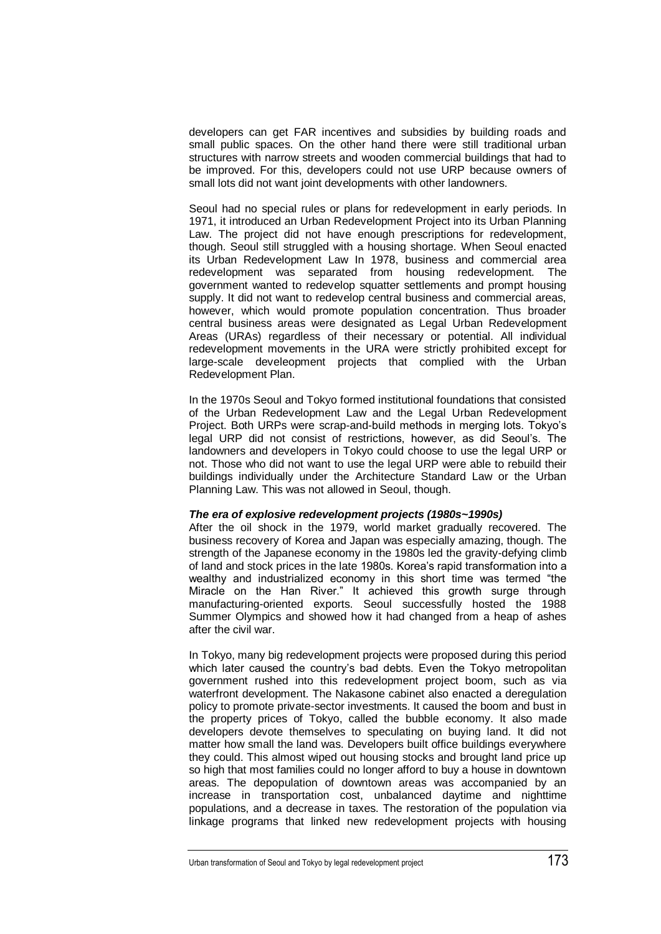developers can get FAR incentives and subsidies by building roads and small public spaces. On the other hand there were still traditional urban structures with narrow streets and wooden commercial buildings that had to be improved. For this, developers could not use URP because owners of small lots did not want joint developments with other landowners.

Seoul had no special rules or plans for redevelopment in early periods. In 1971, it introduced an Urban Redevelopment Project into its Urban Planning Law. The project did not have enough prescriptions for redevelopment, though. Seoul still struggled with a housing shortage. When Seoul enacted its Urban Redevelopment Law In 1978, business and commercial area redevelopment was separated from housing redevelopment. The government wanted to redevelop squatter settlements and prompt housing supply. It did not want to redevelop central business and commercial areas, however, which would promote population concentration. Thus broader central business areas were designated as Legal Urban Redevelopment Areas (URAs) regardless of their necessary or potential. All individual redevelopment movements in the URA were strictly prohibited except for large-scale develeopment projects that complied with the Urban Redevelopment Plan.

In the 1970s Seoul and Tokyo formed institutional foundations that consisted of the Urban Redevelopment Law and the Legal Urban Redevelopment Project. Both URPs were scrap-and-build methods in merging lots. Tokyo's legal URP did not consist of restrictions, however, as did Seoul's. The landowners and developers in Tokyo could choose to use the legal URP or not. Those who did not want to use the legal URP were able to rebuild their buildings individually under the Architecture Standard Law or the Urban Planning Law. This was not allowed in Seoul, though.

#### *The era of explosive redevelopment projects (1980s~1990s)*

After the oil shock in the 1979, world market gradually recovered. The business recovery of Korea and Japan was especially amazing, though. The strength of the Japanese economy in the 1980s led the gravity-defying climb of land and stock prices in the late 1980s. Korea's rapid transformation into a wealthy and industrialized economy in this short time was termed "the Miracle on the Han River." It achieved this growth surge through manufacturing-oriented exports. Seoul successfully hosted the 1988 Summer Olympics and showed how it had changed from a heap of ashes after the civil war.

In Tokyo, many big redevelopment projects were proposed during this period which later caused the country's bad debts. Even the Tokyo metropolitan government rushed into this redevelopment project boom, such as via waterfront development. The Nakasone cabinet also enacted a deregulation policy to promote private-sector investments. It caused the boom and bust in the property prices of Tokyo, called the bubble economy. It also made developers devote themselves to speculating on buying land. It did not matter how small the land was. Developers built office buildings everywhere they could. This almost wiped out housing stocks and brought land price up so high that most families could no longer afford to buy a house in downtown areas. The depopulation of downtown areas was accompanied by an increase in transportation cost, unbalanced daytime and nighttime populations, and a decrease in taxes. The restoration of the population via linkage programs that linked new redevelopment projects with housing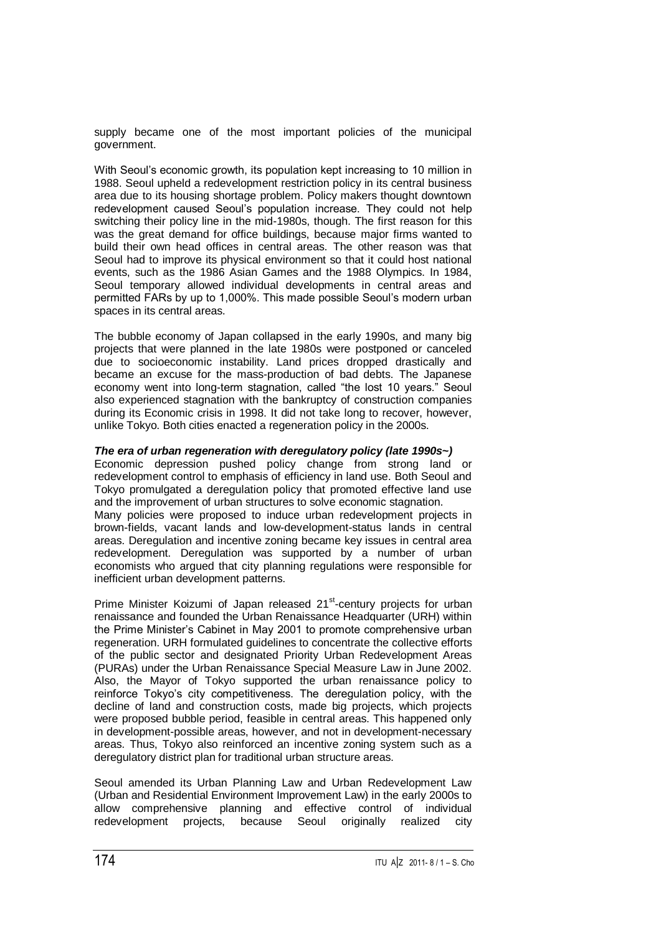supply became one of the most important policies of the municipal government.

With Seoul's economic growth, its population kept increasing to 10 million in 1988. Seoul upheld a redevelopment restriction policy in its central business area due to its housing shortage problem. Policy makers thought downtown redevelopment caused Seoul's population increase. They could not help switching their policy line in the mid-1980s, though. The first reason for this was the great demand for office buildings, because major firms wanted to build their own head offices in central areas. The other reason was that Seoul had to improve its physical environment so that it could host national events, such as the 1986 Asian Games and the 1988 Olympics. In 1984, Seoul temporary allowed individual developments in central areas and permitted FARs by up to 1,000%. This made possible Seoul's modern urban spaces in its central areas.

The bubble economy of Japan collapsed in the early 1990s, and many big projects that were planned in the late 1980s were postponed or canceled due to socioeconomic instability. Land prices dropped drastically and became an excuse for the mass-production of bad debts. The Japanese economy went into long-term stagnation, called "the lost 10 years." Seoul also experienced stagnation with the bankruptcy of construction companies during its Economic crisis in 1998. It did not take long to recover, however, unlike Tokyo. Both cities enacted a regeneration policy in the 2000s.

# *The era of urban regeneration with deregulatory policy (late 1990s~)*

Economic depression pushed policy change from strong land or redevelopment control to emphasis of efficiency in land use. Both Seoul and Tokyo promulgated a deregulation policy that promoted effective land use and the improvement of urban structures to solve economic stagnation. Many policies were proposed to induce urban redevelopment projects in brown-fields, vacant lands and low-development-status lands in central areas. Deregulation and incentive zoning became key issues in central area redevelopment. Deregulation was supported by a number of urban economists who argued that city planning regulations were responsible for inefficient urban development patterns.

Prime Minister Koizumi of Japan released 21<sup>st</sup>-century projects for urban renaissance and founded the Urban Renaissance Headquarter (URH) within the Prime Minister's Cabinet in May 2001 to promote comprehensive urban regeneration. URH formulated guidelines to concentrate the collective efforts of the public sector and designated Priority Urban Redevelopment Areas (PURAs) under the Urban Renaissance Special Measure Law in June 2002. Also, the Mayor of Tokyo supported the urban renaissance policy to reinforce Tokyo's city competitiveness. The deregulation policy, with the decline of land and construction costs, made big projects, which projects were proposed bubble period, feasible in central areas. This happened only in development-possible areas, however, and not in development-necessary areas. Thus, Tokyo also reinforced an incentive zoning system such as a deregulatory district plan for traditional urban structure areas.

Seoul amended its Urban Planning Law and Urban Redevelopment Law (Urban and Residential Environment Improvement Law) in the early 2000s to allow comprehensive planning and effective control of individual redevelopment projects, because Seoul originally realized city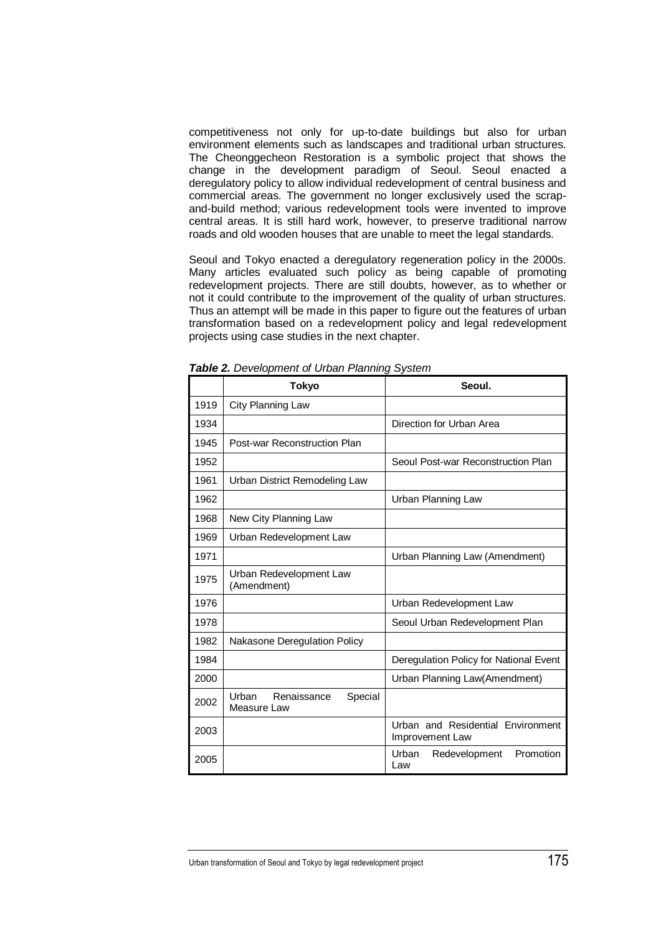competitiveness not only for up-to-date buildings but also for urban environment elements such as landscapes and traditional urban structures. The Cheonggecheon Restoration is a symbolic project that shows the change in the development paradigm of Seoul. Seoul enacted a deregulatory policy to allow individual redevelopment of central business and commercial areas. The government no longer exclusively used the scrapand-build method; various redevelopment tools were invented to improve central areas. It is still hard work, however, to preserve traditional narrow roads and old wooden houses that are unable to meet the legal standards.

Seoul and Tokyo enacted a deregulatory regeneration policy in the 2000s. Many articles evaluated such policy as being capable of promoting redevelopment projects. There are still doubts, however, as to whether or not it could contribute to the improvement of the quality of urban structures. Thus an attempt will be made in this paper to figure out the features of urban transformation based on a redevelopment policy and legal redevelopment projects using case studies in the next chapter.

|      | <b>Tokyo</b>                                   | Seoul.                                               |  |
|------|------------------------------------------------|------------------------------------------------------|--|
| 1919 | City Planning Law                              |                                                      |  |
| 1934 |                                                | Direction for Urban Area                             |  |
| 1945 | Post-war Reconstruction Plan                   |                                                      |  |
| 1952 |                                                | Seoul Post-war Reconstruction Plan                   |  |
| 1961 | Urban District Remodeling Law                  |                                                      |  |
| 1962 |                                                | Urban Planning Law                                   |  |
| 1968 | New City Planning Law                          |                                                      |  |
| 1969 | Urban Redevelopment Law                        |                                                      |  |
| 1971 |                                                | Urban Planning Law (Amendment)                       |  |
| 1975 | Urban Redevelopment Law<br>(Amendment)         |                                                      |  |
| 1976 |                                                | Urban Redevelopment Law                              |  |
| 1978 |                                                | Seoul Urban Redevelopment Plan                       |  |
| 1982 | Nakasone Deregulation Policy                   |                                                      |  |
| 1984 |                                                | Deregulation Policy for National Event               |  |
| 2000 |                                                | Urban Planning Law(Amendment)                        |  |
| 2002 | Renaissance<br>Urban<br>Special<br>Measure Law |                                                      |  |
| 2003 |                                                | Urban and Residential Environment<br>Improvement Law |  |
| 2005 |                                                | Promotion<br>Urban<br>Redevelopment<br>Law           |  |

*Table 2. Development of Urban Planning System*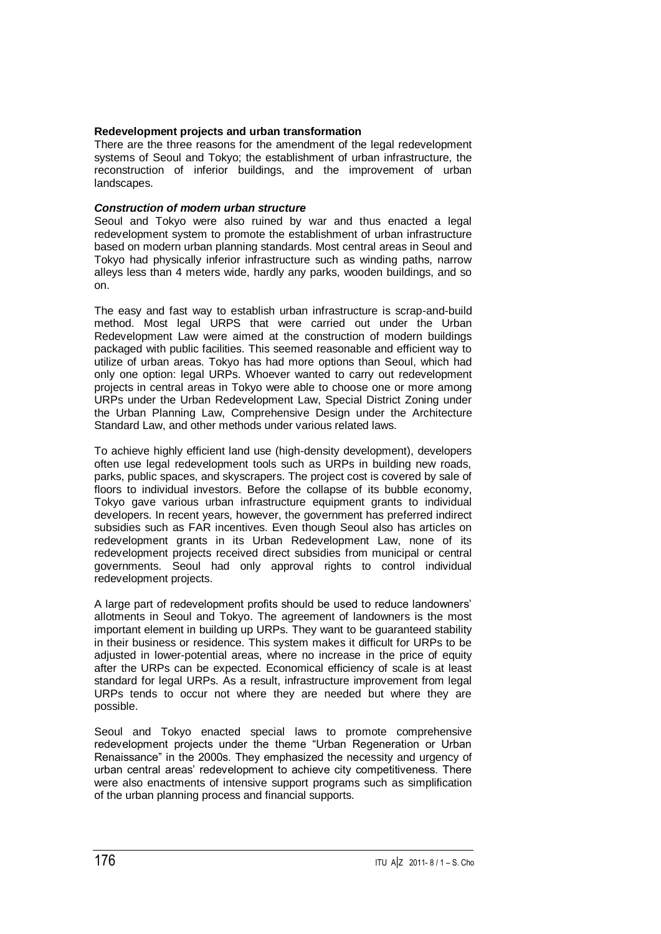## **Redevelopment projects and urban transformation**

There are the three reasons for the amendment of the legal redevelopment systems of Seoul and Tokyo; the establishment of urban infrastructure, the reconstruction of inferior buildings, and the improvement of urban landscapes.

#### *Construction of modern urban structure*

Seoul and Tokyo were also ruined by war and thus enacted a legal redevelopment system to promote the establishment of urban infrastructure based on modern urban planning standards. Most central areas in Seoul and Tokyo had physically inferior infrastructure such as winding paths, narrow alleys less than 4 meters wide, hardly any parks, wooden buildings, and so on.

The easy and fast way to establish urban infrastructure is scrap-and-build method. Most legal URPS that were carried out under the Urban Redevelopment Law were aimed at the construction of modern buildings packaged with public facilities. This seemed reasonable and efficient way to utilize of urban areas. Tokyo has had more options than Seoul, which had only one option: legal URPs. Whoever wanted to carry out redevelopment projects in central areas in Tokyo were able to choose one or more among URPs under the Urban Redevelopment Law, Special District Zoning under the Urban Planning Law, Comprehensive Design under the Architecture Standard Law, and other methods under various related laws.

To achieve highly efficient land use (high-density development), developers often use legal redevelopment tools such as URPs in building new roads, parks, public spaces, and skyscrapers. The project cost is covered by sale of floors to individual investors. Before the collapse of its bubble economy, Tokyo gave various urban infrastructure equipment grants to individual developers. In recent years, however, the government has preferred indirect subsidies such as FAR incentives. Even though Seoul also has articles on redevelopment grants in its Urban Redevelopment Law, none of its redevelopment projects received direct subsidies from municipal or central governments. Seoul had only approval rights to control individual redevelopment projects.

A large part of redevelopment profits should be used to reduce landowners' allotments in Seoul and Tokyo. The agreement of landowners is the most important element in building up URPs. They want to be guaranteed stability in their business or residence. This system makes it difficult for URPs to be adjusted in lower-potential areas, where no increase in the price of equity after the URPs can be expected. Economical efficiency of scale is at least standard for legal URPs. As a result, infrastructure improvement from legal URPs tends to occur not where they are needed but where they are possible.

Seoul and Tokyo enacted special laws to promote comprehensive redevelopment projects under the theme "Urban Regeneration or Urban Renaissance" in the 2000s. They emphasized the necessity and urgency of urban central areas' redevelopment to achieve city competitiveness. There were also enactments of intensive support programs such as simplification of the urban planning process and financial supports.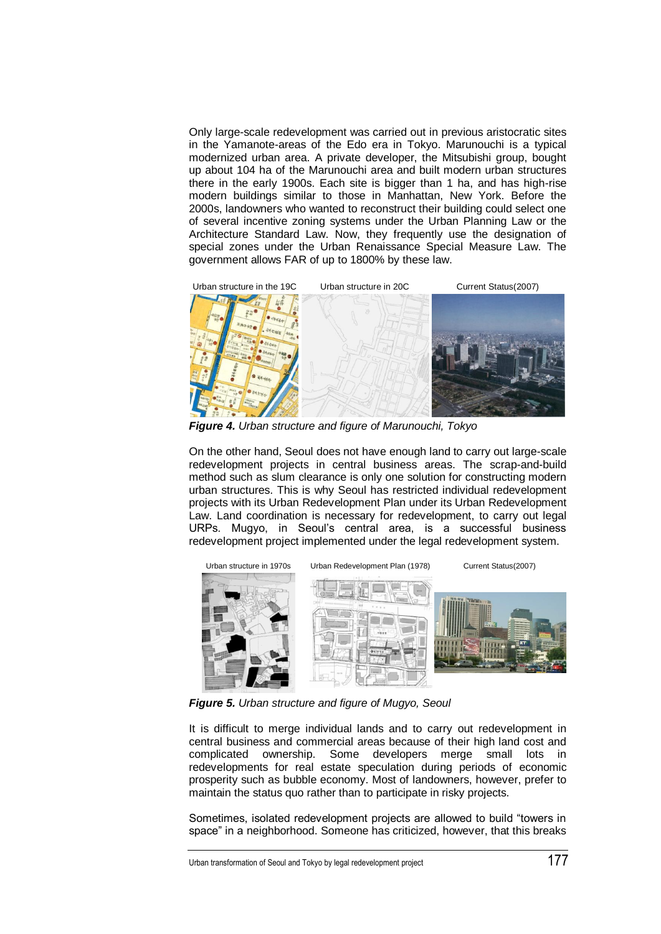Only large-scale redevelopment was carried out in previous aristocratic sites in the Yamanote-areas of the Edo era in Tokyo. Marunouchi is a typical modernized urban area. A private developer, the Mitsubishi group, bought up about 104 ha of the Marunouchi area and built modern urban structures there in the early 1900s. Each site is bigger than 1 ha, and has high-rise modern buildings similar to those in Manhattan, New York. Before the 2000s, landowners who wanted to reconstruct their building could select one of several incentive zoning systems under the Urban Planning Law or the Architecture Standard Law. Now, they frequently use the designation of special zones under the Urban Renaissance Special Measure Law. The government allows FAR of up to 1800% by these law.



*Figure 4. Urban structure and figure of Marunouchi, Tokyo*

On the other hand, Seoul does not have enough land to carry out large-scale redevelopment projects in central business areas. The scrap-and-build method such as slum clearance is only one solution for constructing modern urban structures. This is why Seoul has restricted individual redevelopment projects with its Urban Redevelopment Plan under its Urban Redevelopment Law. Land coordination is necessary for redevelopment, to carry out legal URPs. Mugyo, in Seoul's central area, is a successful business redevelopment project implemented under the legal redevelopment system.



*Figure 5. Urban structure and figure of Mugyo, Seoul*

It is difficult to merge individual lands and to carry out redevelopment in central business and commercial areas because of their high land cost and complicated ownership. Some developers merge small lots in redevelopments for real estate speculation during periods of economic prosperity such as bubble economy. Most of landowners, however, prefer to maintain the status quo rather than to participate in risky projects.

Sometimes, isolated redevelopment projects are allowed to build "towers in space" in a neighborhood. Someone has criticized, however, that this breaks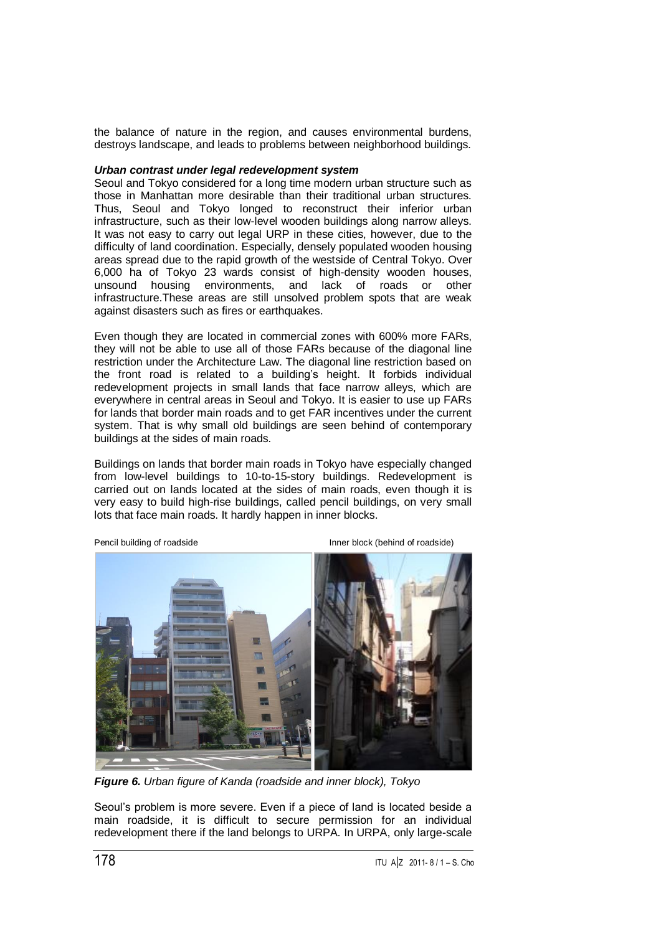the balance of nature in the region, and causes environmental burdens, destroys landscape, and leads to problems between neighborhood buildings.

#### *Urban contrast under legal redevelopment system*

Seoul and Tokyo considered for a long time modern urban structure such as those in Manhattan more desirable than their traditional urban structures. Thus, Seoul and Tokyo longed to reconstruct their inferior urban infrastructure, such as their low-level wooden buildings along narrow alleys. It was not easy to carry out legal URP in these cities, however, due to the difficulty of land coordination. Especially, densely populated wooden housing areas spread due to the rapid growth of the westside of Central Tokyo. Over 6,000 ha of Tokyo 23 wards consist of high-density wooden houses, unsound housing environments, and lack of roads or other infrastructure.These areas are still unsolved problem spots that are weak against disasters such as fires or earthquakes.

Even though they are located in commercial zones with 600% more FARs, they will not be able to use all of those FARs because of the diagonal line restriction under the Architecture Law. The diagonal line restriction based on the front road is related to a building's height. It forbids individual redevelopment projects in small lands that face narrow alleys, which are everywhere in central areas in Seoul and Tokyo. It is easier to use up FARs for lands that border main roads and to get FAR incentives under the current system. That is why small old buildings are seen behind of contemporary buildings at the sides of main roads.

Buildings on lands that border main roads in Tokyo have especially changed from low-level buildings to 10-to-15-story buildings. Redevelopment is carried out on lands located at the sides of main roads, even though it is very easy to build high-rise buildings, called pencil buildings, on very small lots that face main roads. It hardly happen in inner blocks.



Pencil building of roadside Inner block (behind of roadside)



*Figure 6. Urban figure of Kanda (roadside and inner block), Tokyo*

Seoul's problem is more severe. Even if a piece of land is located beside a main roadside, it is difficult to secure permission for an individual redevelopment there if the land belongs to URPA. In URPA, only large-scale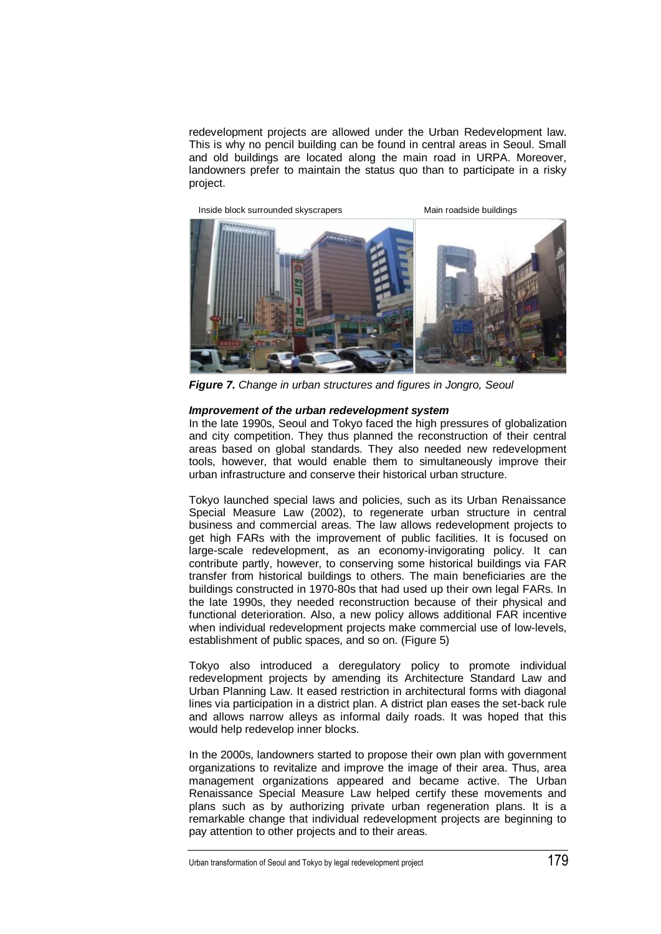redevelopment projects are allowed under the Urban Redevelopment law. This is why no pencil building can be found in central areas in Seoul. Small and old buildings are located along the main road in URPA. Moreover, landowners prefer to maintain the status quo than to participate in a risky project.



*Figure 7. Change in urban structures and figures in Jongro, Seoul*

#### *Improvement of the urban redevelopment system*

In the late 1990s, Seoul and Tokyo faced the high pressures of globalization and city competition. They thus planned the reconstruction of their central areas based on global standards. They also needed new redevelopment tools, however, that would enable them to simultaneously improve their urban infrastructure and conserve their historical urban structure.

Tokyo launched special laws and policies, such as its Urban Renaissance Special Measure Law (2002), to regenerate urban structure in central business and commercial areas. The law allows redevelopment projects to get high FARs with the improvement of public facilities. It is focused on large-scale redevelopment, as an economy-invigorating policy. It can contribute partly, however, to conserving some historical buildings via FAR transfer from historical buildings to others. The main beneficiaries are the buildings constructed in 1970-80s that had used up their own legal FARs. In the late 1990s, they needed reconstruction because of their physical and functional deterioration. Also, a new policy allows additional FAR incentive when individual redevelopment projects make commercial use of low-levels, establishment of public spaces, and so on. (Figure 5)

Tokyo also introduced a deregulatory policy to promote individual redevelopment projects by amending its Architecture Standard Law and Urban Planning Law. It eased restriction in architectural forms with diagonal lines via participation in a district plan. A district plan eases the set-back rule and allows narrow alleys as informal daily roads. It was hoped that this would help redevelop inner blocks.

In the 2000s, landowners started to propose their own plan with government organizations to revitalize and improve the image of their area. Thus, area management organizations appeared and became active. The Urban Renaissance Special Measure Law helped certify these movements and plans such as by authorizing private urban regeneration plans. It is a remarkable change that individual redevelopment projects are beginning to pay attention to other projects and to their areas.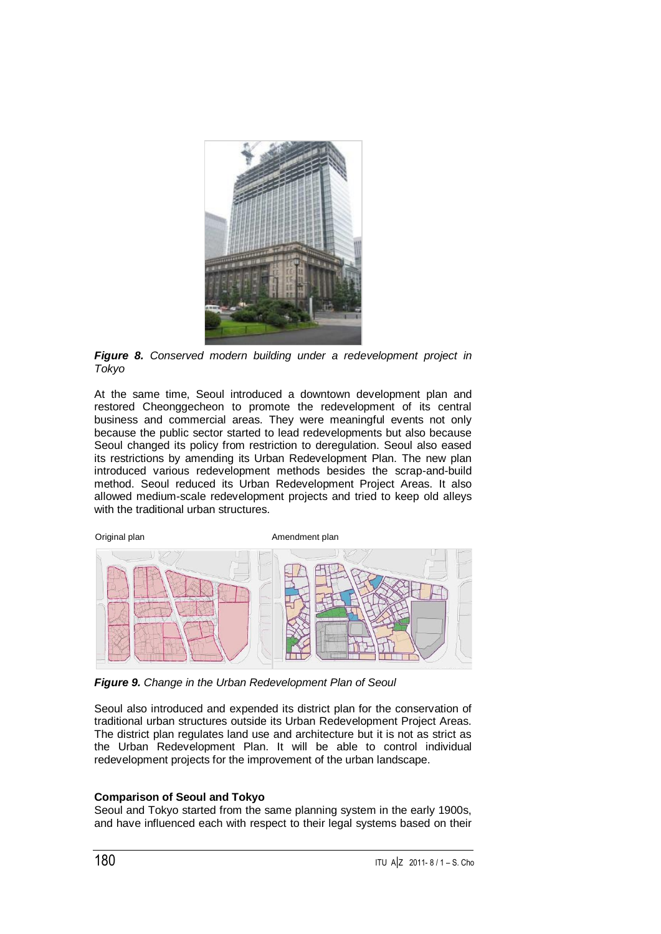

*Figure 8. Conserved modern building under a redevelopment project in Tokyo*

At the same time, Seoul introduced a downtown development plan and restored Cheonggecheon to promote the redevelopment of its central business and commercial areas. They were meaningful events not only because the public sector started to lead redevelopments but also because Seoul changed its policy from restriction to deregulation. Seoul also eased its restrictions by amending its Urban Redevelopment Plan. The new plan introduced various redevelopment methods besides the scrap-and-build method. Seoul reduced its Urban Redevelopment Project Areas. It also allowed medium-scale redevelopment projects and tried to keep old alleys with the traditional urban structures.



*Figure 9. Change in the Urban Redevelopment Plan of Seoul*

Seoul also introduced and expended its district plan for the conservation of traditional urban structures outside its Urban Redevelopment Project Areas. The district plan regulates land use and architecture but it is not as strict as the Urban Redevelopment Plan. It will be able to control individual redevelopment projects for the improvement of the urban landscape.

# **Comparison of Seoul and Tokyo**

Seoul and Tokyo started from the same planning system in the early 1900s, and have influenced each with respect to their legal systems based on their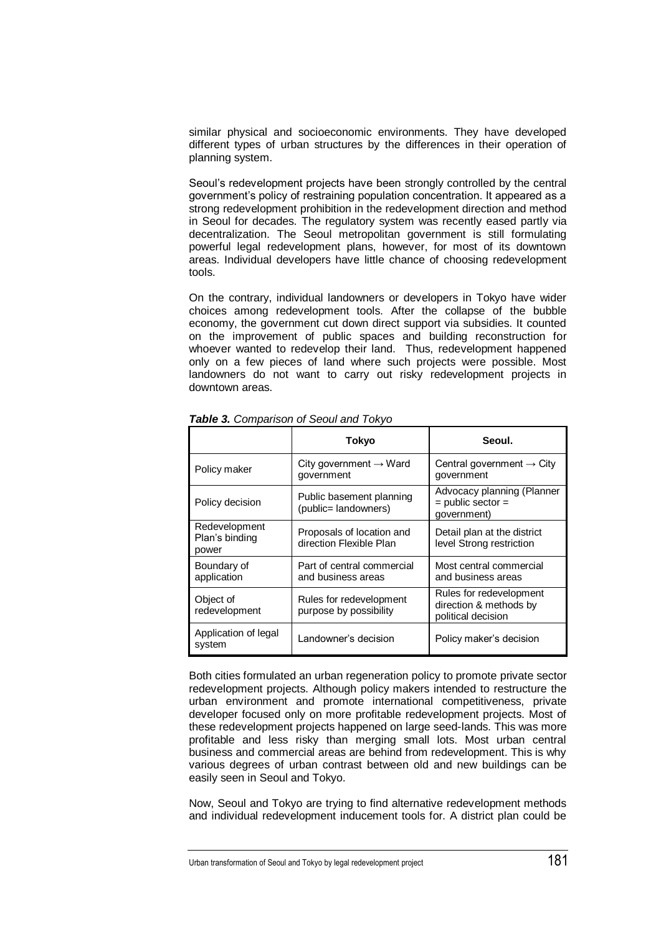similar physical and socioeconomic environments. They have developed different types of urban structures by the differences in their operation of planning system.

Seoul's redevelopment projects have been strongly controlled by the central government's policy of restraining population concentration. It appeared as a strong redevelopment prohibition in the redevelopment direction and method in Seoul for decades. The regulatory system was recently eased partly via decentralization. The Seoul metropolitan government is still formulating powerful legal redevelopment plans, however, for most of its downtown areas. Individual developers have little chance of choosing redevelopment tools.

On the contrary, individual landowners or developers in Tokyo have wider choices among redevelopment tools. After the collapse of the bubble economy, the government cut down direct support via subsidies. It counted on the improvement of public spaces and building reconstruction for whoever wanted to redevelop their land. Thus, redevelopment happened only on a few pieces of land where such projects were possible. Most landowners do not want to carry out risky redevelopment projects in downtown areas.

|                                          | Tokyo                                                | Seoul.                                                                  |
|------------------------------------------|------------------------------------------------------|-------------------------------------------------------------------------|
| Policy maker                             | City government $\rightarrow$ Ward<br>government     | Central government $\rightarrow$ City<br>government                     |
| Policy decision                          | Public basement planning<br>(public= landowners)     | Advocacy planning (Planner<br>$=$ public sector $=$<br>government)      |
| Redevelopment<br>Plan's binding<br>power | Proposals of location and<br>direction Flexible Plan | Detail plan at the district<br>level Strong restriction                 |
| Boundary of<br>application               | Part of central commercial<br>and business areas     | Most central commercial<br>and business areas                           |
| Object of<br>redevelopment               | Rules for redevelopment<br>purpose by possibility    | Rules for redevelopment<br>direction & methods by<br>political decision |
| Application of legal<br>system           | Landowner's decision                                 | Policy maker's decision                                                 |

*Table 3. Comparison of Seoul and Tokyo*

Both cities formulated an urban regeneration policy to promote private sector redevelopment projects. Although policy makers intended to restructure the urban environment and promote international competitiveness, private developer focused only on more profitable redevelopment projects. Most of these redevelopment projects happened on large seed-lands. This was more profitable and less risky than merging small lots. Most urban central business and commercial areas are behind from redevelopment. This is why various degrees of urban contrast between old and new buildings can be easily seen in Seoul and Tokyo.

Now, Seoul and Tokyo are trying to find alternative redevelopment methods and individual redevelopment inducement tools for. A district plan could be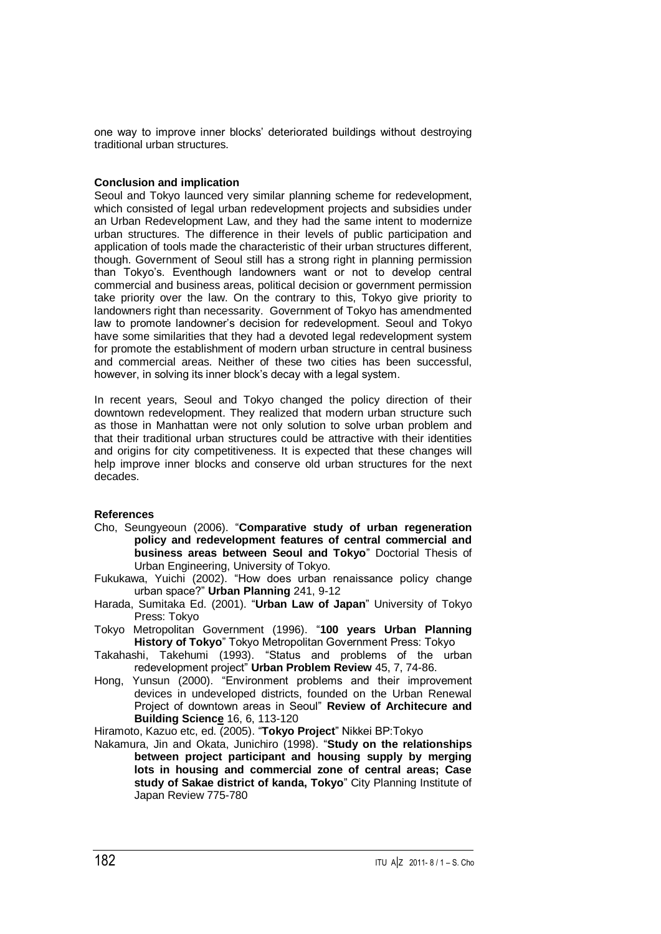one way to improve inner blocks' deteriorated buildings without destroying traditional urban structures.

## **Conclusion and implication**

Seoul and Tokyo launced very similar planning scheme for redevelopment, which consisted of legal urban redevelopment projects and subsidies under an Urban Redevelopment Law, and they had the same intent to modernize urban structures. The difference in their levels of public participation and application of tools made the characteristic of their urban structures different, though. Government of Seoul still has a strong right in planning permission than Tokyo's. Eventhough landowners want or not to develop central commercial and business areas, political decision or government permission take priority over the law. On the contrary to this, Tokyo give priority to landowners right than necessarity. Government of Tokyo has amendmented law to promote landowner's decision for redevelopment. Seoul and Tokyo have some similarities that they had a devoted legal redevelopment system for promote the establishment of modern urban structure in central business and commercial areas. Neither of these two cities has been successful, however, in solving its inner block's decay with a legal system.

In recent years, Seoul and Tokyo changed the policy direction of their downtown redevelopment. They realized that modern urban structure such as those in Manhattan were not only solution to solve urban problem and that their traditional urban structures could be attractive with their identities and origins for city competitiveness. It is expected that these changes will help improve inner blocks and conserve old urban structures for the next decades.

# **References**

- Cho, Seungyeoun (2006). "**Comparative study of urban regeneration policy and redevelopment features of central commercial and business areas between Seoul and Tokyo**" Doctorial Thesis of Urban Engineering, University of Tokyo.
- Fukukawa, Yuichi (2002). "How does urban renaissance policy change urban space?" **Urban Planning** 241, 9-12
- Harada, Sumitaka Ed. (2001). "**Urban Law of Japan**" University of Tokyo Press: Tokyo
- Tokyo Metropolitan Government (1996). "**100 years Urban Planning History of Tokyo**" Tokyo Metropolitan Government Press: Tokyo
- Takahashi, Takehumi (1993). "Status and problems of the urban redevelopment project" **Urban Problem Review** 45, 7, 74-86.
- Hong, Yunsun (2000). "Environment problems and their improvement devices in undeveloped districts, founded on the Urban Renewal Project of downtown areas in Seoul" **Review of Architecure and Building Science** 16, 6, 113-120

Hiramoto, Kazuo etc, ed. (2005). "**Tokyo Project**" Nikkei BP:Tokyo

Nakamura, Jin and Okata, Junichiro (1998). "**Study on the relationships between project participant and housing supply by merging lots in housing and commercial zone of central areas; Case study of Sakae district of kanda, Tokyo**" City Planning Institute of Japan Review 775-780